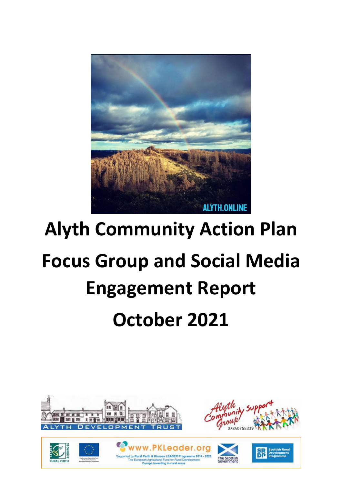

# **Alyth Community Action Plan Focus Group and Social Media Engagement Report October 2021**









eader.

Europe investing in rural areas

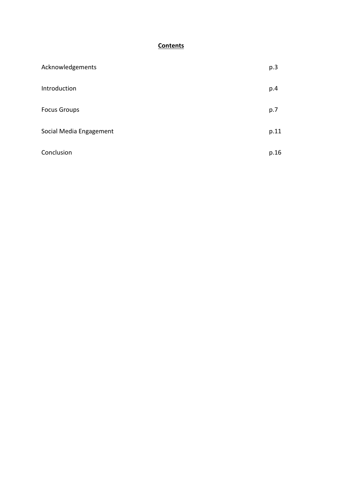# **Contents**

| Acknowledgements        | p.3  |
|-------------------------|------|
| Introduction            | p.4  |
| <b>Focus Groups</b>     | p.7  |
| Social Media Engagement | p.11 |
| Conclusion              | p.16 |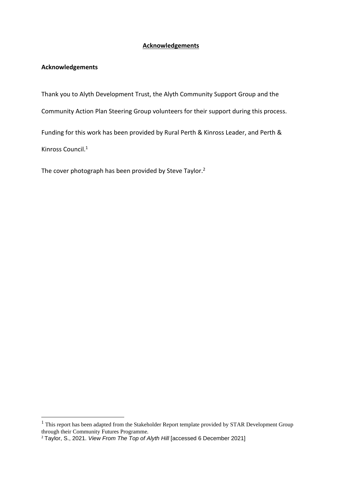#### **Acknowledgements**

## **Acknowledgements**

Thank you to Alyth Development Trust, the Alyth Community Support Group and the

Community Action Plan Steering Group volunteers for their support during this process.

Funding for this work has been provided by Rural Perth & Kinross Leader, and Perth & Kinross Council.<sup>1</sup>

The cover photograph has been provided by Steve Taylor.<sup>2</sup>

<sup>&</sup>lt;sup>1</sup> This report has been adapted from the Stakeholder Report template provided by STAR Development Group through their Community Futures Programme.

<sup>2</sup> Taylor, S., 2021. *View From The Top of Alyth Hill* [accessed 6 December 2021]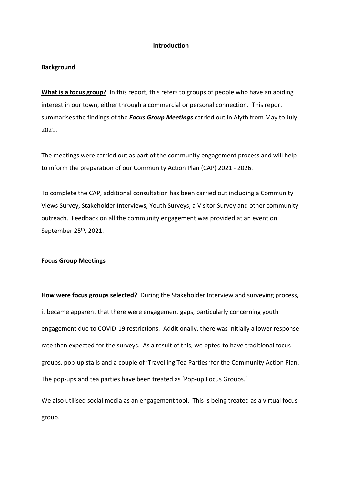#### **Introduction**

#### **Background**

**What is a focus group?** In this report, this refers to groups of people who have an abiding interest in our town, either through a commercial or personal connection. This report summarises the findings of the *Focus Group Meetings* carried out in Alyth from May to July 2021.

The meetings were carried out as part of the community engagement process and will help to inform the preparation of our Community Action Plan (CAP) 2021 - 2026.

To complete the CAP, additional consultation has been carried out including a Community Views Survey, Stakeholder Interviews, Youth Surveys, a Visitor Survey and other community outreach. Feedback on all the community engagement was provided at an event on September 25<sup>th</sup>, 2021.

#### **Focus Group Meetings**

**How were focus groups selected?** During the Stakeholder Interview and surveying process, it became apparent that there were engagement gaps, particularly concerning youth engagement due to COVID-19 restrictions. Additionally, there was initially a lower response rate than expected for the surveys. As a result of this, we opted to have traditional focus groups, pop-up stalls and a couple of 'Travelling Tea Parties 'for the Community Action Plan. The pop-ups and tea parties have been treated as 'Pop-up Focus Groups.'

We also utilised social media as an engagement tool. This is being treated as a virtual focus group.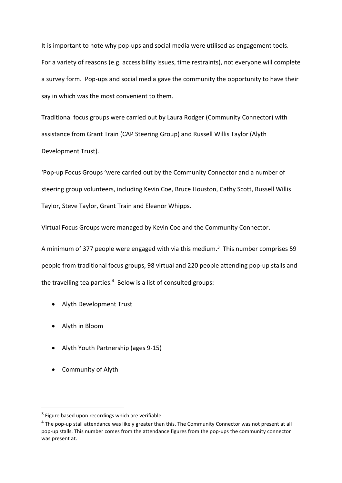It is important to note why pop-ups and social media were utilised as engagement tools. For a variety of reasons (e.g. accessibility issues, time restraints), not everyone will complete a survey form. Pop-ups and social media gave the community the opportunity to have their say in which was the most convenient to them.

Traditional focus groups were carried out by Laura Rodger (Community Connector) with assistance from Grant Train (CAP Steering Group) and Russell Willis Taylor (Alyth Development Trust).

'Pop-up Focus Groups 'were carried out by the Community Connector and a number of steering group volunteers, including Kevin Coe, Bruce Houston, Cathy Scott, Russell Willis Taylor, Steve Taylor, Grant Train and Eleanor Whipps.

Virtual Focus Groups were managed by Kevin Coe and the Community Connector.

A minimum of 377 people were engaged with via this medium.<sup>3</sup> This number comprises 59 people from traditional focus groups, 98 virtual and 220 people attending pop-up stalls and the travelling tea parties.<sup>4</sup> Below is a list of consulted groups:

- Alyth Development Trust
- Alyth in Bloom
- Alyth Youth Partnership (ages 9-15)
- Community of Alyth

<sup>&</sup>lt;sup>3</sup> Figure based upon recordings which are verifiable.

<sup>&</sup>lt;sup>4</sup> The pop-up stall attendance was likely greater than this. The Community Connector was not present at all pop-up stalls. This number comes from the attendance figures from the pop-ups the community connector was present at.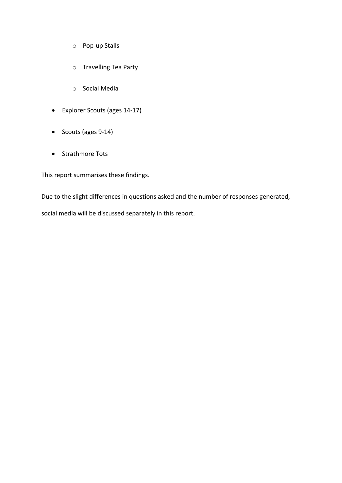- o Pop-up Stalls
- o Travelling Tea Party
- o Social Media
- Explorer Scouts (ages 14-17)
- Scouts (ages 9-14)
- Strathmore Tots

This report summarises these findings.

Due to the slight differences in questions asked and the number of responses generated, social media will be discussed separately in this report.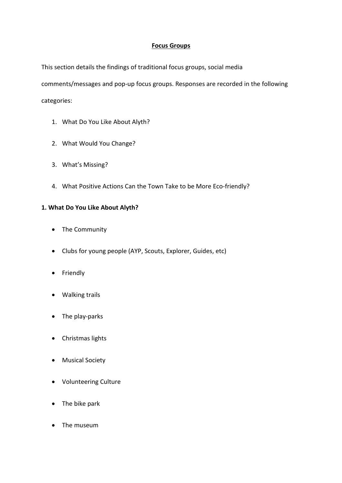# **Focus Groups**

This section details the findings of traditional focus groups, social media

comments/messages and pop-up focus groups. Responses are recorded in the following categories:

- 1. What Do You Like About Alyth?
- 2. What Would You Change?
- 3. What's Missing?
- 4. What Positive Actions Can the Town Take to be More Eco-friendly?

# **1. What Do You Like About Alyth?**

- The Community
- Clubs for young people (AYP, Scouts, Explorer, Guides, etc)
- Friendly
- Walking trails
- The play-parks
- Christmas lights
- Musical Society
- Volunteering Culture
- The bike park
- The museum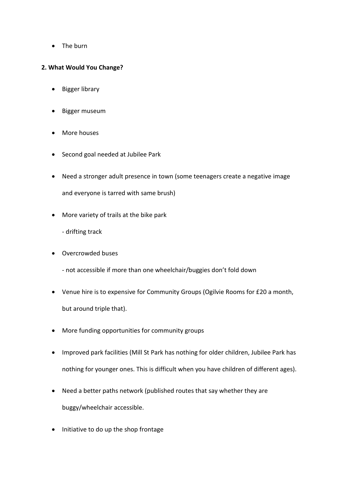• The burn

## **2. What Would You Change?**

- Bigger library
- Bigger museum
- More houses
- Second goal needed at Jubilee Park
- Need a stronger adult presence in town (some teenagers create a negative image and everyone is tarred with same brush)
- More variety of trails at the bike park

- drifting track

- Overcrowded buses
	- not accessible if more than one wheelchair/buggies don't fold down
- Venue hire is to expensive for Community Groups (Ogilvie Rooms for £20 a month, but around triple that).
- More funding opportunities for community groups
- Improved park facilities (Mill St Park has nothing for older children, Jubilee Park has nothing for younger ones. This is difficult when you have children of different ages).
- Need a better paths network (published routes that say whether they are buggy/wheelchair accessible.
- Initiative to do up the shop frontage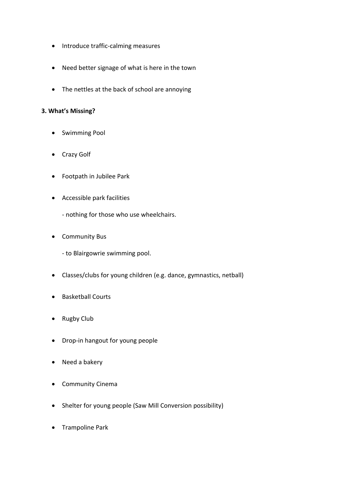- Introduce traffic-calming measures
- Need better signage of what is here in the town
- The nettles at the back of school are annoying

## **3. What's Missing?**

- Swimming Pool
- Crazy Golf
- Footpath in Jubilee Park
- Accessible park facilities
	- nothing for those who use wheelchairs.
- Community Bus

- to Blairgowrie swimming pool.

- Classes/clubs for young children (e.g. dance, gymnastics, netball)
- Basketball Courts
- Rugby Club
- Drop-in hangout for young people
- Need a bakery
- Community Cinema
- Shelter for young people (Saw Mill Conversion possibility)
- Trampoline Park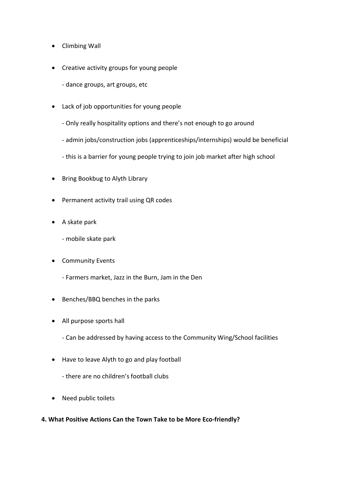- Climbing Wall
- Creative activity groups for young people
	- dance groups, art groups, etc
- Lack of job opportunities for young people
	- Only really hospitality options and there's not enough to go around
	- admin jobs/construction jobs (apprenticeships/internships) would be beneficial
	- this is a barrier for young people trying to join job market after high school
- Bring Bookbug to Alyth Library
- Permanent activity trail using QR codes
- A skate park
	- mobile skate park
- Community Events
	- Farmers market, Jazz in the Burn, Jam in the Den
- Benches/BBQ benches in the parks
- All purpose sports hall
	- Can be addressed by having access to the Community Wing/School facilities
- Have to leave Alyth to go and play football
	- there are no children's football clubs
- Need public toilets
- **4. What Positive Actions Can the Town Take to be More Eco-friendly?**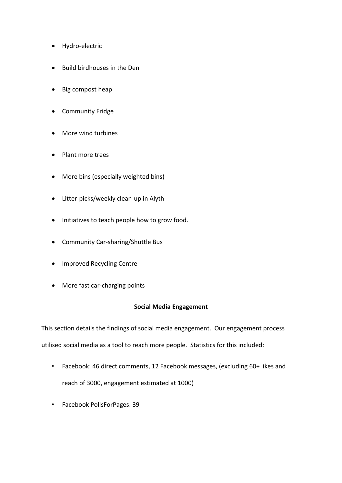- Hydro-electric
- Build birdhouses in the Den
- Big compost heap
- Community Fridge
- More wind turbines
- Plant more trees
- More bins (especially weighted bins)
- Litter-picks/weekly clean-up in Alyth
- Initiatives to teach people how to grow food.
- Community Car-sharing/Shuttle Bus
- Improved Recycling Centre
- More fast car-charging points

## **Social Media Engagement**

This section details the findings of social media engagement. Our engagement process utilised social media as a tool to reach more people. Statistics for this included:

- Facebook: 46 direct comments, 12 Facebook messages, (excluding 60+ likes and reach of 3000, engagement estimated at 1000)
- Facebook PollsForPages: 39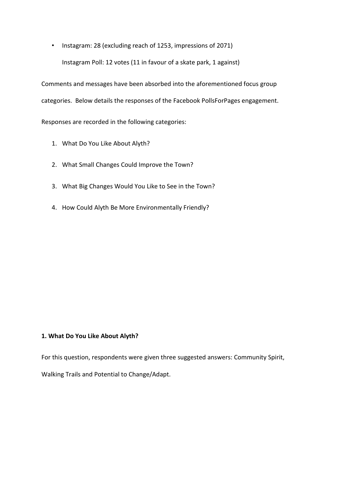• Instagram: 28 (excluding reach of 1253, impressions of 2071) Instagram Poll: 12 votes (11 in favour of a skate park, 1 against)

Comments and messages have been absorbed into the aforementioned focus group categories. Below details the responses of the Facebook PollsForPages engagement.

Responses are recorded in the following categories:

- 1. What Do You Like About Alyth?
- 2. What Small Changes Could Improve the Town?
- 3. What Big Changes Would You Like to See in the Town?
- 4. How Could Alyth Be More Environmentally Friendly?

#### **1. What Do You Like About Alyth?**

For this question, respondents were given three suggested answers: Community Spirit,

Walking Trails and Potential to Change/Adapt.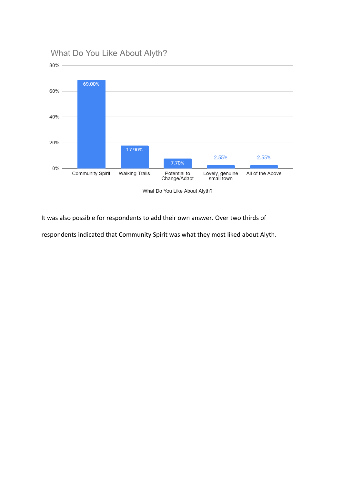

It was also possible for respondents to add their own answer. Over two thirds of

respondents indicated that Community Spirit was what they most liked about Alyth.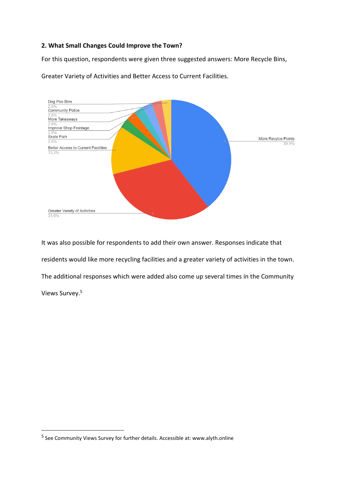## **2. What Small Changes Could Improve the Town?**

For this question, respondents were given three suggested answers: More Recycle Bins,



Greater Variety of Activities and Better Access to Current Facilities.

It was also possible for respondents to add their own answer. Responses indicate that residents would like more recycling facilities and a greater variety of activities in the town. The additional responses which were added also come up several times in the Community Views Survey.<sup>5</sup>

<sup>&</sup>lt;sup>5</sup> See Community Views Survey for further details. Accessible at: www.alyth.online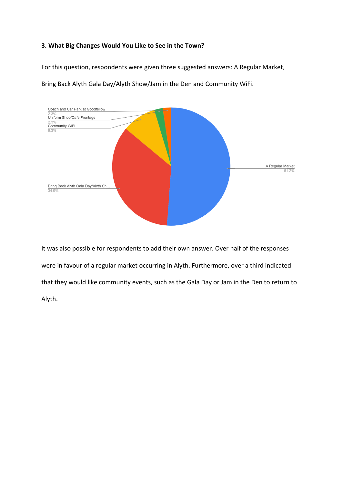## **3. What Big Changes Would You Like to See in the Town?**

For this question, respondents were given three suggested answers: A Regular Market,

Bring Back Alyth Gala Day/Alyth Show/Jam in the Den and Community WiFi.



It was also possible for respondents to add their own answer. Over half of the responses were in favour of a regular market occurring in Alyth. Furthermore, over a third indicated that they would like community events, such as the Gala Day or Jam in the Den to return to Alyth.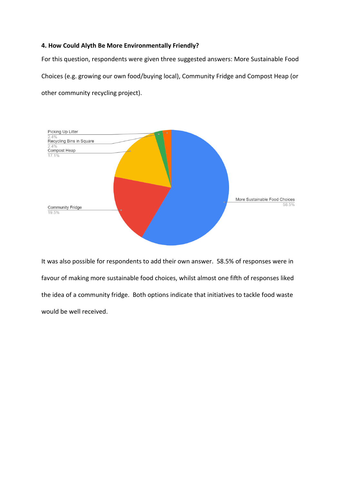#### **4. How Could Alyth Be More Environmentally Friendly?**

For this question, respondents were given three suggested answers: More Sustainable Food Choices (e.g. growing our own food/buying local), Community Fridge and Compost Heap (or other community recycling project).



It was also possible for respondents to add their own answer. 58.5% of responses were in favour of making more sustainable food choices, whilst almost one fifth of responses liked the idea of a community fridge. Both options indicate that initiatives to tackle food waste would be well received.